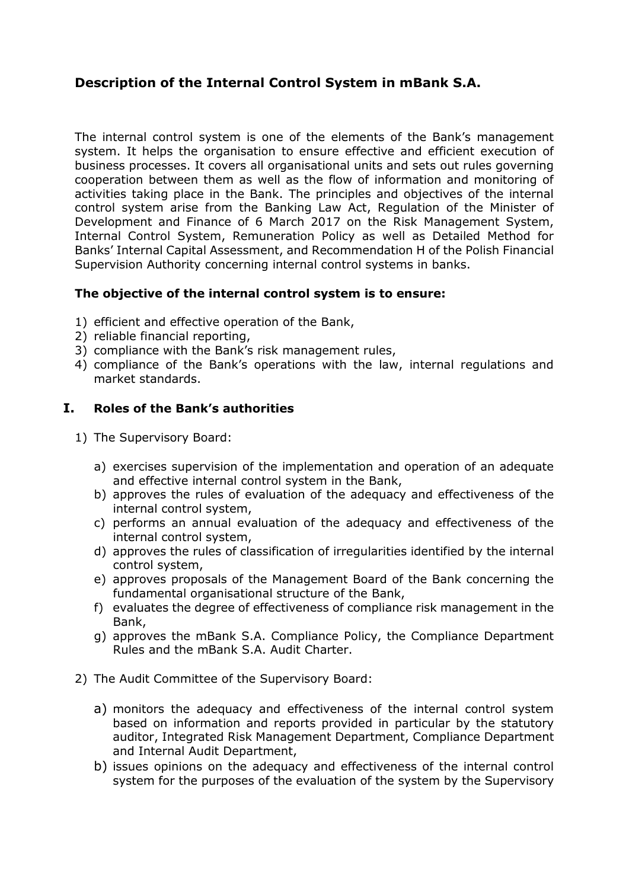# **Description of the Internal Control System in mBank S.A.**

The internal control system is one of the elements of the Bank's management system. It helps the organisation to ensure effective and efficient execution of business processes. It covers all organisational units and sets out rules governing cooperation between them as well as the flow of information and monitoring of activities taking place in the Bank. The principles and objectives of the internal control system arise from the Banking Law Act, Regulation of the Minister of Development and Finance of 6 March 2017 on the Risk Management System, Internal Control System, Remuneration Policy as well as Detailed Method for Banks' Internal Capital Assessment, and Recommendation H of the Polish Financial Supervision Authority concerning internal control systems in banks.

### **The objective of the internal control system is to ensure:**

- 1) efficient and effective operation of the Bank,
- 2) reliable financial reporting,
- 3) compliance with the Bank's risk management rules,
- 4) compliance of the Bank's operations with the law, internal regulations and market standards.

#### **I. Roles of the Bank's authorities**

- 1) The Supervisory Board:
	- a) exercises supervision of the implementation and operation of an adequate and effective internal control system in the Bank,
	- b) approves the rules of evaluation of the adequacy and effectiveness of the internal control system,
	- c) performs an annual evaluation of the adequacy and effectiveness of the internal control system,
	- d) approves the rules of classification of irregularities identified by the internal control system,
	- e) approves proposals of the Management Board of the Bank concerning the fundamental organisational structure of the Bank,
	- f) evaluates the degree of effectiveness of compliance risk management in the Bank,
	- g) approves the mBank S.A. Compliance Policy, the Compliance Department Rules and the mBank S.A. Audit Charter.
- 2) The Audit Committee of the Supervisory Board:
	- a) monitors the adequacy and effectiveness of the internal control system based on information and reports provided in particular by the statutory auditor, Integrated Risk Management Department, Compliance Department and Internal Audit Department,
	- b) issues opinions on the adequacy and effectiveness of the internal control system for the purposes of the evaluation of the system by the Supervisory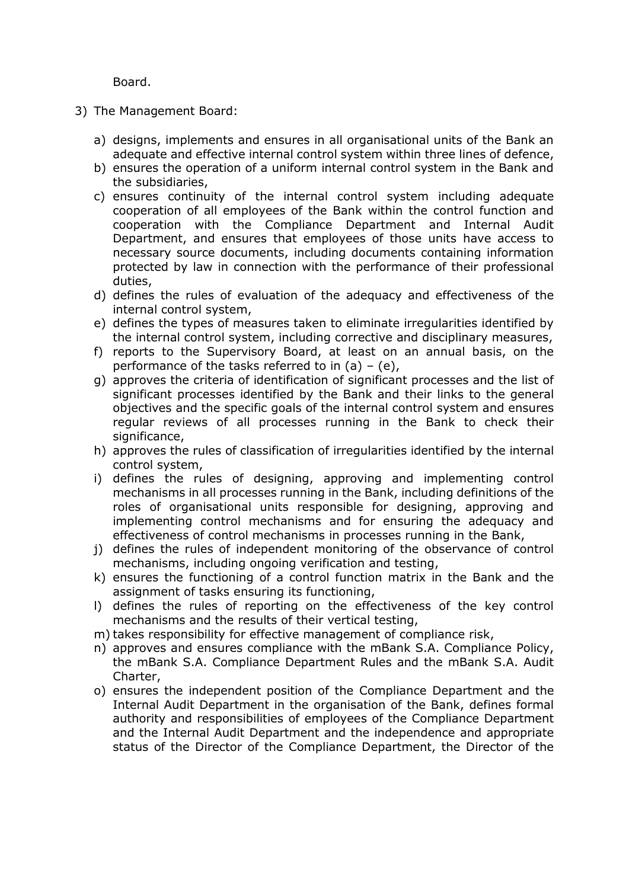Board.

- 3) The Management Board:
	- a) designs, implements and ensures in all organisational units of the Bank an adequate and effective internal control system within three lines of defence,
	- b) ensures the operation of a uniform internal control system in the Bank and the subsidiaries,
	- c) ensures continuity of the internal control system including adequate cooperation of all employees of the Bank within the control function and cooperation with the Compliance Department and Internal Audit Department, and ensures that employees of those units have access to necessary source documents, including documents containing information protected by law in connection with the performance of their professional duties,
	- d) defines the rules of evaluation of the adequacy and effectiveness of the internal control system,
	- e) defines the types of measures taken to eliminate irregularities identified by the internal control system, including corrective and disciplinary measures,
	- f) reports to the Supervisory Board, at least on an annual basis, on the performance of the tasks referred to in  $(a) - (e)$ ,
	- g) approves the criteria of identification of significant processes and the list of significant processes identified by the Bank and their links to the general objectives and the specific goals of the internal control system and ensures regular reviews of all processes running in the Bank to check their significance,
	- h) approves the rules of classification of irregularities identified by the internal control system,
	- i) defines the rules of designing, approving and implementing control mechanisms in all processes running in the Bank, including definitions of the roles of organisational units responsible for designing, approving and implementing control mechanisms and for ensuring the adequacy and effectiveness of control mechanisms in processes running in the Bank,
	- j) defines the rules of independent monitoring of the observance of control mechanisms, including ongoing verification and testing,
	- k) ensures the functioning of a control function matrix in the Bank and the assignment of tasks ensuring its functioning,
	- l) defines the rules of reporting on the effectiveness of the key control mechanisms and the results of their vertical testing,
	- m) takes responsibility for effective management of compliance risk,
	- n) approves and ensures compliance with the mBank S.A. Compliance Policy, the mBank S.A. Compliance Department Rules and the mBank S.A. Audit Charter,
	- o) ensures the independent position of the Compliance Department and the Internal Audit Department in the organisation of the Bank, defines formal authority and responsibilities of employees of the Compliance Department and the Internal Audit Department and the independence and appropriate status of the Director of the Compliance Department, the Director of the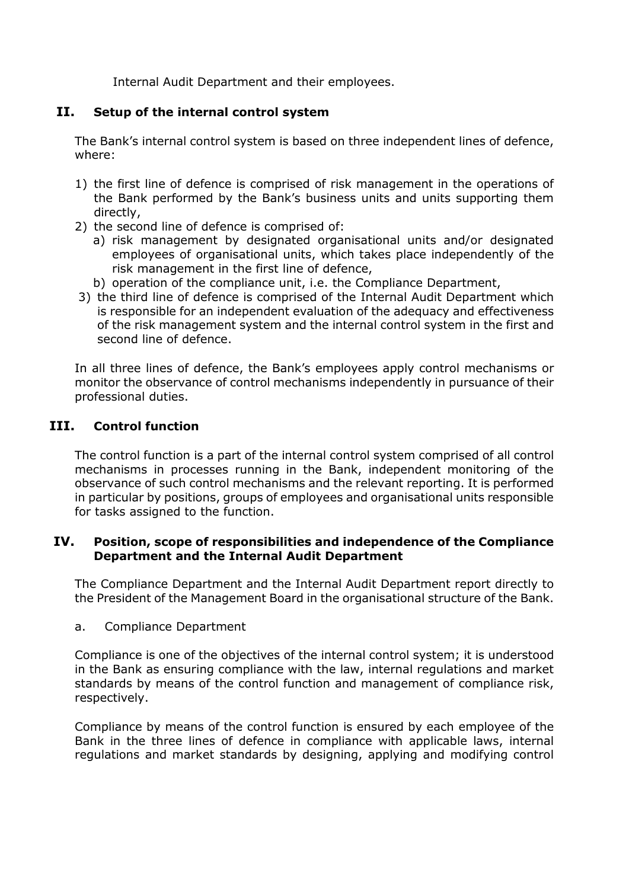Internal Audit Department and their employees.

### **II. Setup of the internal control system**

The Bank's internal control system is based on three independent lines of defence, where:

- 1) the first line of defence is comprised of risk management in the operations of the Bank performed by the Bank's business units and units supporting them directly,
- 2) the second line of defence is comprised of:
	- a) risk management by designated organisational units and/or designated employees of organisational units, which takes place independently of the risk management in the first line of defence,
	- b) operation of the compliance unit, i.e. the Compliance Department,
- 3) the third line of defence is comprised of the Internal Audit Department which is responsible for an independent evaluation of the adequacy and effectiveness of the risk management system and the internal control system in the first and second line of defence.

In all three lines of defence, the Bank's employees apply control mechanisms or monitor the observance of control mechanisms independently in pursuance of their professional duties.

### **III. Control function**

The control function is a part of the internal control system comprised of all control mechanisms in processes running in the Bank, independent monitoring of the observance of such control mechanisms and the relevant reporting. It is performed in particular by positions, groups of employees and organisational units responsible for tasks assigned to the function.

#### **IV. Position, scope of responsibilities and independence of the Compliance Department and the Internal Audit Department**

The Compliance Department and the Internal Audit Department report directly to the President of the Management Board in the organisational structure of the Bank.

a. Compliance Department

Compliance is one of the objectives of the internal control system; it is understood in the Bank as ensuring compliance with the law, internal regulations and market standards by means of the control function and management of compliance risk, respectively.

Compliance by means of the control function is ensured by each employee of the Bank in the three lines of defence in compliance with applicable laws, internal regulations and market standards by designing, applying and modifying control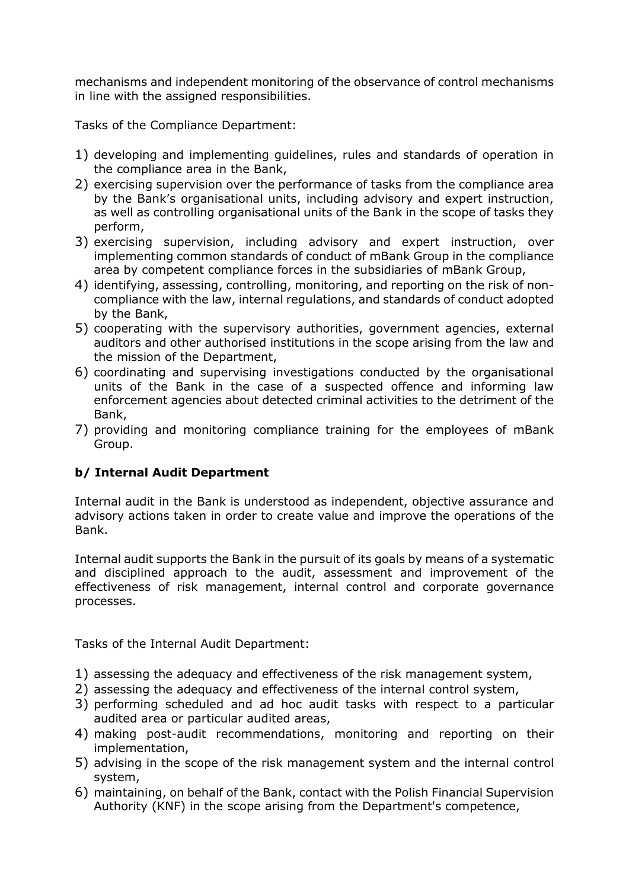mechanisms and independent monitoring of the observance of control mechanisms in line with the assigned responsibilities.

Tasks of the Compliance Department:

- 1) developing and implementing guidelines, rules and standards of operation in the compliance area in the Bank,
- 2) exercising supervision over the performance of tasks from the compliance area by the Bank's organisational units, including advisory and expert instruction, as well as controlling organisational units of the Bank in the scope of tasks they perform,
- 3) exercising supervision, including advisory and expert instruction, over implementing common standards of conduct of mBank Group in the compliance area by competent compliance forces in the subsidiaries of mBank Group,
- 4) identifying, assessing, controlling, monitoring, and reporting on the risk of noncompliance with the law, internal regulations, and standards of conduct adopted by the Bank,
- 5) cooperating with the supervisory authorities, government agencies, external auditors and other authorised institutions in the scope arising from the law and the mission of the Department,
- 6) coordinating and supervising investigations conducted by the organisational units of the Bank in the case of a suspected offence and informing law enforcement agencies about detected criminal activities to the detriment of the Bank,
- 7) providing and monitoring compliance training for the employees of mBank Group.

## **b/ Internal Audit Department**

Internal audit in the Bank is understood as independent, objective assurance and advisory actions taken in order to create value and improve the operations of the Bank.

Internal audit supports the Bank in the pursuit of its goals by means of a systematic and disciplined approach to the audit, assessment and improvement of the effectiveness of risk management, internal control and corporate governance processes.

Tasks of the Internal Audit Department:

- 1) assessing the adequacy and effectiveness of the risk management system,
- 2) assessing the adequacy and effectiveness of the internal control system,
- 3) performing scheduled and ad hoc audit tasks with respect to a particular audited area or particular audited areas,
- 4) making post-audit recommendations, monitoring and reporting on their implementation,
- 5) advising in the scope of the risk management system and the internal control system,
- 6) maintaining, on behalf of the Bank, contact with the Polish Financial Supervision Authority (KNF) in the scope arising from the Department's competence,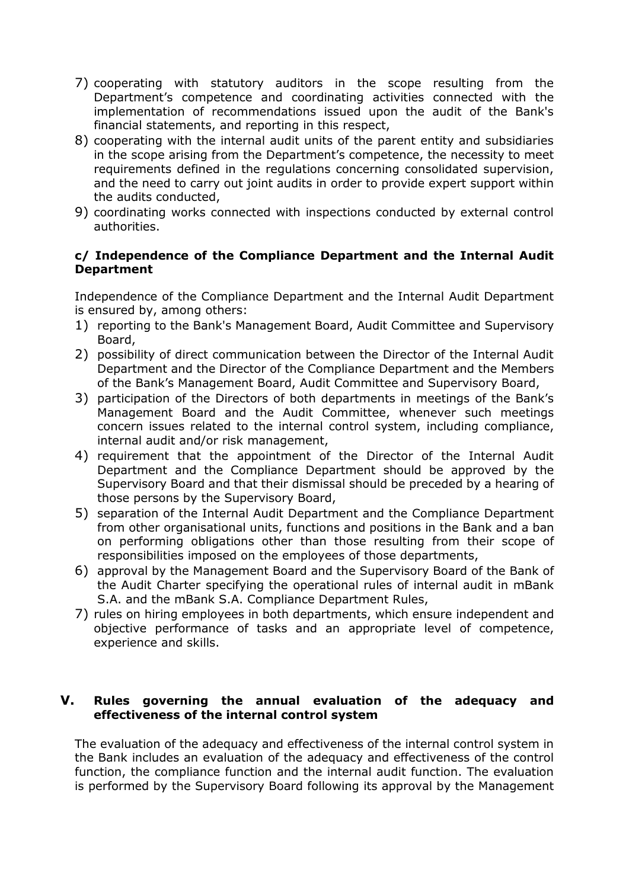- 7) cooperating with statutory auditors in the scope resulting from the Department's competence and coordinating activities connected with the implementation of recommendations issued upon the audit of the Bank's financial statements, and reporting in this respect,
- 8) cooperating with the internal audit units of the parent entity and subsidiaries in the scope arising from the Department's competence, the necessity to meet requirements defined in the regulations concerning consolidated supervision, and the need to carry out joint audits in order to provide expert support within the audits conducted,
- 9) coordinating works connected with inspections conducted by external control authorities.

#### **c/ Independence of the Compliance Department and the Internal Audit Department**

Independence of the Compliance Department and the Internal Audit Department is ensured by, among others:

- 1) reporting to the Bank's Management Board, Audit Committee and Supervisory Board,
- 2) possibility of direct communication between the Director of the Internal Audit Department and the Director of the Compliance Department and the Members of the Bank's Management Board, Audit Committee and Supervisory Board,
- 3) participation of the Directors of both departments in meetings of the Bank's Management Board and the Audit Committee, whenever such meetings concern issues related to the internal control system, including compliance, internal audit and/or risk management,
- 4) requirement that the appointment of the Director of the Internal Audit Department and the Compliance Department should be approved by the Supervisory Board and that their dismissal should be preceded by a hearing of those persons by the Supervisory Board,
- 5) separation of the Internal Audit Department and the Compliance Department from other organisational units, functions and positions in the Bank and a ban on performing obligations other than those resulting from their scope of responsibilities imposed on the employees of those departments,
- 6) approval by the Management Board and the Supervisory Board of the Bank of the Audit Charter specifying the operational rules of internal audit in mBank S.A. and the mBank S.A. Compliance Department Rules,
- 7) rules on hiring employees in both departments, which ensure independent and objective performance of tasks and an appropriate level of competence, experience and skills.

#### **V. Rules governing the annual evaluation of the adequacy and effectiveness of the internal control system**

The evaluation of the adequacy and effectiveness of the internal control system in the Bank includes an evaluation of the adequacy and effectiveness of the control function, the compliance function and the internal audit function. The evaluation is performed by the Supervisory Board following its approval by the Management